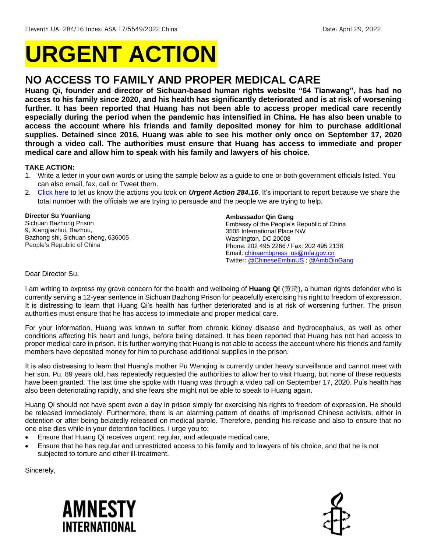# **URGENT ACTION**

# **NO ACCESS TO FAMILY AND PROPER MEDICAL CARE**

**Huang Qi, founder and director of Sichuan-based human rights website "64 Tianwang", has had no access to his family since 2020, and his health has significantly deteriorated and is at risk of worsening further. It has been reported that Huang has not been able to access proper medical care recently especially during the period when the pandemic has intensified in China. He has also been unable to access the account where his friends and family deposited money for him to purchase additional supplies. Detained since 2016, Huang was able to see his mother only once on September 17, 2020 through a video call. The authorities must ensure that Huang has access to immediate and proper medical care and allow him to speak with his family and lawyers of his choice.** 

## **TAKE ACTION:**

- 1. Write a letter in your own words or using the sample below as a guide to one or both government officials listed. You can also email, fax, call or Tweet them.
- 2. [Click here](https://www.amnestyusa.org/report-urgent-actions/) to let us know the actions you took on *Urgent Action 284.16*. It's important to report because we share the total number with the officials we are trying to persuade and the people we are trying to help.

#### **Director Su Yuanliang**

Sichuan Bazhong Prison 9, Xiangjiazhui, Bazhou, Bazhong shi, Sichuan sheng, 636005 People's Republic of China

#### **Ambassador Qin Gang**

Embassy of the People's Republic of China 3505 International Place NW Washington, DC 20008 Phone: 202 495 2266 / Fax: 202 495 2138 Email: [chinaembpress\\_us@mfa.gov.cn](mailto:chinaembpress_us@mfa.gov.cn) Twitter[: @ChineseEmbinUS](https://twitter.com/chineseembinus) [; @AmbQinGang](https://twitter.com/ambqingang)

#### Dear Director Su,

I am writing to express my grave concern for the health and wellbeing of **Huang Qi** (黄琦), a human rights defender who is currently serving a 12-year sentence in Sichuan Bazhong Prison for peacefully exercising his right to freedom of expression. It is distressing to learn that Huang Qi's health has further deteriorated and is at risk of worsening further. The prison authorities must ensure that he has access to immediate and proper medical care.

For your information, Huang was known to suffer from chronic kidney disease and hydrocephalus, as well as other conditions affecting his heart and lungs, before being detained. It has been reported that Huang has not had access to proper medical care in prison. It is further worrying that Huang is not able to access the account where his friends and family members have deposited money for him to purchase additional supplies in the prison.

It is also distressing to learn that Huang's mother Pu Wenqing is currently under heavy surveillance and cannot meet with her son. Pu, 89 years old, has repeatedly requested the authorities to allow her to visit Huang, but none of these requests have been granted. The last time she spoke with Huang was through a video call on September 17, 2020. Pu's health has also been deteriorating rapidly, and she fears she might not be able to speak to Huang again.

Huang Qi should not have spent even a day in prison simply for exercising his rights to freedom of expression. He should be released immediately. Furthermore, there is an alarming pattern of deaths of imprisoned Chinese activists, either in detention or after being belatedly released on medical parole. Therefore, pending his release and also to ensure that no one else dies while in your detention facilities, I urge you to:

- Ensure that Huang Qi receives urgent, regular, and adequate medical care,
- Ensure that he has regular and unrestricted access to his family and to lawyers of his choice, and that he is not subjected to torture and other ill-treatment.

Sincerely,